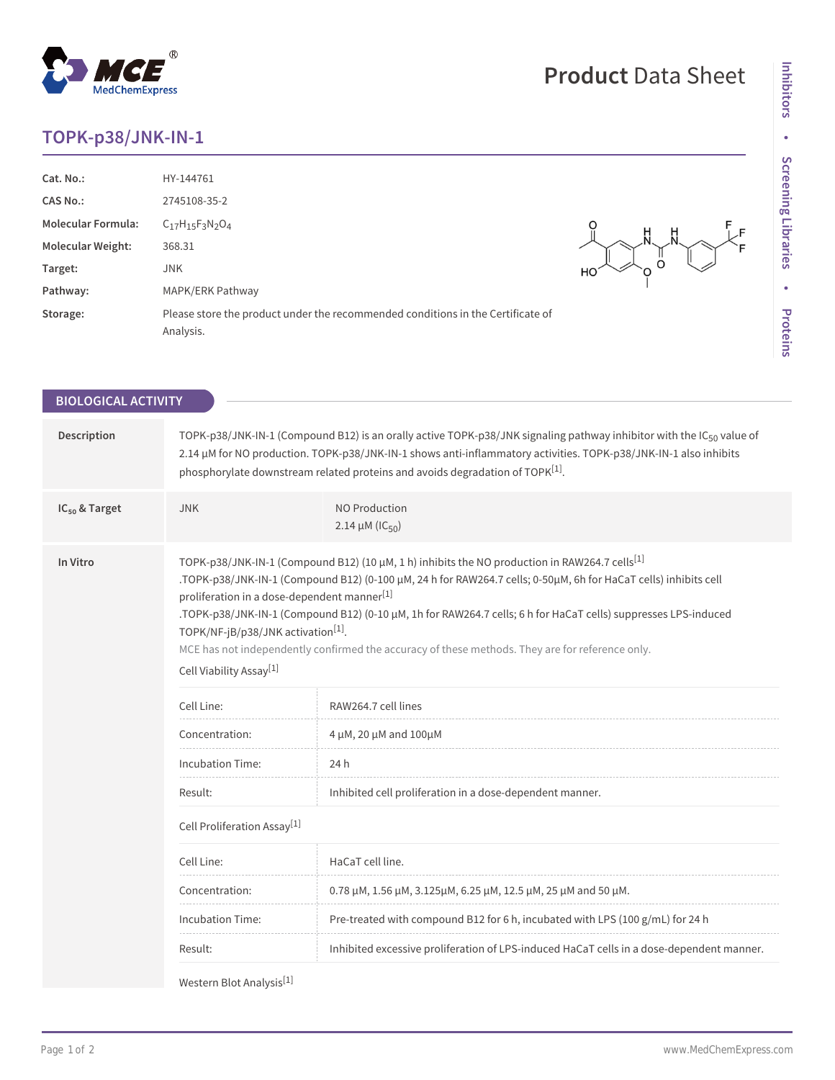## **TOPK-p38/JNK-IN-1**

**Cat. No.:** HY-144761 **CAS No.:** 2745108-35-2 **Molecular Formula:** C17H15F3N2O4

**Molecular Weight:** 368.31 **Target:** JNK

Pathway: MAPK/ERK Pathway

 $\ddot{\circ}$ O

F F

| Storage:                   | Analysis.                                                                                                                                        | Please store the product under the recommended conditions in the Certificate of                                                                                                                                                                                                                                                                                                                                                                   | <b>Liorcilis</b> |
|----------------------------|--------------------------------------------------------------------------------------------------------------------------------------------------|---------------------------------------------------------------------------------------------------------------------------------------------------------------------------------------------------------------------------------------------------------------------------------------------------------------------------------------------------------------------------------------------------------------------------------------------------|------------------|
| <b>BIOLOGICAL ACTIVITY</b> |                                                                                                                                                  |                                                                                                                                                                                                                                                                                                                                                                                                                                                   |                  |
| Description                |                                                                                                                                                  | TOPK-p38/JNK-IN-1 (Compound B12) is an orally active TOPK-p38/JNK signaling pathway inhibitor with the IC <sub>50</sub> value of<br>2.14 µM for NO production. TOPK-p38/JNK-IN-1 shows anti-inflammatory activities. TOPK-p38/JNK-IN-1 also inhibits<br>phosphorylate downstream related proteins and avoids degradation of TOPK <sup>[1]</sup> .                                                                                                 |                  |
| $IC_{50}$ & Target         | <b>JNK</b>                                                                                                                                       | <b>NO Production</b><br>2.14 $\mu$ M (IC <sub>50</sub> )                                                                                                                                                                                                                                                                                                                                                                                          |                  |
| In Vitro                   | proliferation in a dose-dependent manner <sup>[1]</sup><br>TOPK/NF-jB/p38/JNK activation <sup>[1]</sup> .<br>Cell Viability Assay <sup>[1]</sup> | TOPK-p38/JNK-IN-1 (Compound B12) (10 µM, 1 h) inhibits the NO production in RAW264.7 cells <sup>[1]</sup><br>.TOPK-p38/JNK-IN-1 (Compound B12) (0-100 μM, 24 h for RAW264.7 cells; 0-50μM, 6h for HaCaT cells) inhibits cell<br>.TOPK-p38/JNK-IN-1 (Compound B12) (0-10 μM, 1h for RAW264.7 cells; 6 h for HaCaT cells) suppresses LPS-induced<br>MCE has not independently confirmed the accuracy of these methods. They are for reference only. |                  |
|                            | Cell Line:                                                                                                                                       | RAW264.7 cell lines                                                                                                                                                                                                                                                                                                                                                                                                                               |                  |
|                            | Concentration:                                                                                                                                   | 4 μM, 20 μM and 100μM                                                                                                                                                                                                                                                                                                                                                                                                                             |                  |
|                            | Incubation Time:                                                                                                                                 | 24 h                                                                                                                                                                                                                                                                                                                                                                                                                                              |                  |
|                            | Result:                                                                                                                                          | Inhibited cell proliferation in a dose-dependent manner.                                                                                                                                                                                                                                                                                                                                                                                          |                  |
|                            | Cell Proliferation Assay <sup>[1]</sup>                                                                                                          |                                                                                                                                                                                                                                                                                                                                                                                                                                                   |                  |
|                            | Cell Line:                                                                                                                                       | HaCaT cell line.                                                                                                                                                                                                                                                                                                                                                                                                                                  |                  |
|                            | Concentration:                                                                                                                                   | 0.78 μM, 1.56 μM, 3.125μM, 6.25 μM, 12.5 μM, 25 μM and 50 μM.                                                                                                                                                                                                                                                                                                                                                                                     |                  |
|                            | Incubation Time:                                                                                                                                 | Pre-treated with compound B12 for 6 h, incubated with LPS (100 g/mL) for 24 h                                                                                                                                                                                                                                                                                                                                                                     |                  |
|                            | Result:                                                                                                                                          | Inhibited excessive proliferation of LPS-induced HaCaT cells in a dose-dependent manner.                                                                                                                                                                                                                                                                                                                                                          |                  |
|                            | $F = 3$                                                                                                                                          |                                                                                                                                                                                                                                                                                                                                                                                                                                                   |                  |

Western Blot Analysis<sup>[1]</sup>

## **MedChemExpress**